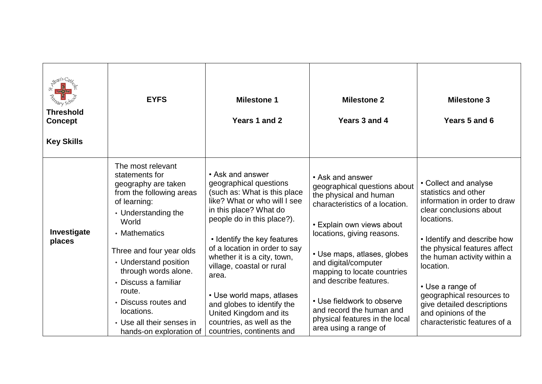| <b>Threshold</b><br><b>Concept</b><br><b>Key Skills</b> | <b>EYFS</b>                                                                                                                                                                                                                                                                                                                                                          | <b>Milestone 1</b><br>Years 1 and 2                                                                                                                                                                                                                                                                                                                                                                                                                    | <b>Milestone 2</b><br>Years 3 and 4                                                                                                                                                                                                                                                                                                                                                                          | <b>Milestone 3</b><br>Years 5 and 6                                                                                                                                                                                                                                                                                                                                     |
|---------------------------------------------------------|----------------------------------------------------------------------------------------------------------------------------------------------------------------------------------------------------------------------------------------------------------------------------------------------------------------------------------------------------------------------|--------------------------------------------------------------------------------------------------------------------------------------------------------------------------------------------------------------------------------------------------------------------------------------------------------------------------------------------------------------------------------------------------------------------------------------------------------|--------------------------------------------------------------------------------------------------------------------------------------------------------------------------------------------------------------------------------------------------------------------------------------------------------------------------------------------------------------------------------------------------------------|-------------------------------------------------------------------------------------------------------------------------------------------------------------------------------------------------------------------------------------------------------------------------------------------------------------------------------------------------------------------------|
| Investigate<br>places                                   | The most relevant<br>statements for<br>geography are taken<br>from the following areas<br>of learning:<br>• Understanding the<br>World<br>• Mathematics<br>Three and four year olds<br>• Understand position<br>through words alone.<br>• Discuss a familiar<br>route.<br>• Discuss routes and<br>locations.<br>• Use all their senses in<br>hands-on exploration of | • Ask and answer<br>geographical questions<br>(such as: What is this place<br>like? What or who will I see<br>in this place? What do<br>people do in this place?).<br>• Identify the key features<br>of a location in order to say<br>whether it is a city, town,<br>village, coastal or rural<br>area.<br>• Use world maps, atlases<br>and globes to identify the<br>United Kingdom and its<br>countries, as well as the<br>countries, continents and | • Ask and answer<br>geographical questions about<br>the physical and human<br>characteristics of a location.<br>• Explain own views about<br>locations, giving reasons.<br>• Use maps, atlases, globes<br>and digital/computer<br>mapping to locate countries<br>and describe features.<br>• Use fieldwork to observe<br>and record the human and<br>physical features in the local<br>area using a range of | • Collect and analyse<br>statistics and other<br>information in order to draw<br>clear conclusions about<br>locations.<br>• Identify and describe how<br>the physical features affect<br>the human activity within a<br>location.<br>• Use a range of<br>geographical resources to<br>give detailed descriptions<br>and opinions of the<br>characteristic features of a |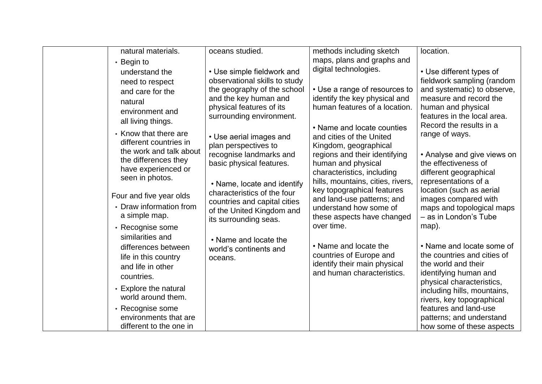| natural materials.                                                                                 | oceans studied.                                                                                                         | methods including sketch                                                                                               | location.                                                                                                                             |
|----------------------------------------------------------------------------------------------------|-------------------------------------------------------------------------------------------------------------------------|------------------------------------------------------------------------------------------------------------------------|---------------------------------------------------------------------------------------------------------------------------------------|
| • Begin to                                                                                         |                                                                                                                         | maps, plans and graphs and                                                                                             |                                                                                                                                       |
| understand the<br>need to respect<br>and care for the                                              | • Use simple fieldwork and<br>observational skills to study<br>the geography of the school                              | digital technologies.<br>• Use a range of resources to                                                                 | • Use different types of<br>fieldwork sampling (random<br>and systematic) to observe,                                                 |
| natural<br>environment and<br>all living things.                                                   | and the key human and<br>physical features of its<br>surrounding environment.                                           | identify the key physical and<br>human features of a location.                                                         | measure and record the<br>human and physical<br>features in the local area.<br>Record the results in a                                |
| • Know that there are<br>different countries in<br>the work and talk about                         | • Use aerial images and<br>plan perspectives to                                                                         | • Name and locate counties<br>and cities of the United<br>Kingdom, geographical                                        | range of ways.                                                                                                                        |
| the differences they<br>have experienced or<br>seen in photos.                                     | recognise landmarks and<br>basic physical features.                                                                     | regions and their identifying<br>human and physical<br>characteristics, including<br>hills, mountains, cities, rivers, | • Analyse and give views on<br>the effectiveness of<br>different geographical<br>representations of a                                 |
| Four and five year olds<br>• Draw information from<br>a simple map.                                | • Name, locate and identify<br>characteristics of the four<br>countries and capital cities<br>of the United Kingdom and | key topographical features<br>and land-use patterns; and<br>understand how some of<br>these aspects have changed       | location (such as aerial<br>images compared with<br>maps and topological maps<br>- as in London's Tube                                |
| • Recognise some                                                                                   | its surrounding seas.                                                                                                   | over time.                                                                                                             | map).                                                                                                                                 |
| similarities and<br>differences between<br>life in this country<br>and life in other<br>countries. | • Name and locate the<br>world's continents and<br>oceans.                                                              | • Name and locate the<br>countries of Europe and<br>identify their main physical<br>and human characteristics.         | • Name and locate some of<br>the countries and cities of<br>the world and their<br>identifying human and<br>physical characteristics, |
| • Explore the natural<br>world around them.                                                        |                                                                                                                         |                                                                                                                        | including hills, mountains,<br>rivers, key topographical                                                                              |
| • Recognise some<br>environments that are<br>different to the one in                               |                                                                                                                         |                                                                                                                        | features and land-use<br>patterns; and understand<br>how some of these aspects                                                        |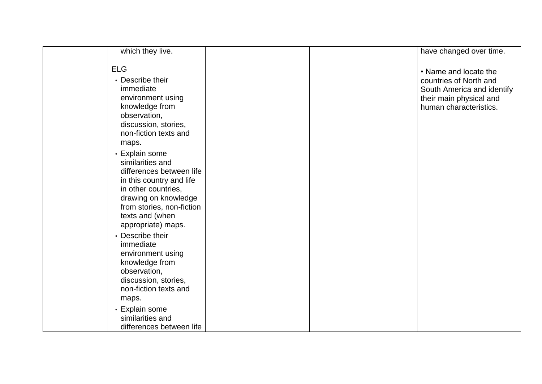| which they live.                                                                                                                                                                                                |  | have changed over time.                                                                                                            |
|-----------------------------------------------------------------------------------------------------------------------------------------------------------------------------------------------------------------|--|------------------------------------------------------------------------------------------------------------------------------------|
| <b>ELG</b><br>• Describe their<br>immediate<br>environment using<br>knowledge from<br>observation,<br>discussion, stories,<br>non-fiction texts and<br>maps.                                                    |  | • Name and locate the<br>countries of North and<br>South America and identify<br>their main physical and<br>human characteristics. |
| • Explain some<br>similarities and<br>differences between life<br>in this country and life<br>in other countries,<br>drawing on knowledge<br>from stories, non-fiction<br>texts and (when<br>appropriate) maps. |  |                                                                                                                                    |
| • Describe their<br>immediate<br>environment using<br>knowledge from<br>observation,<br>discussion, stories,<br>non-fiction texts and<br>maps.                                                                  |  |                                                                                                                                    |
| • Explain some<br>similarities and<br>differences between life                                                                                                                                                  |  |                                                                                                                                    |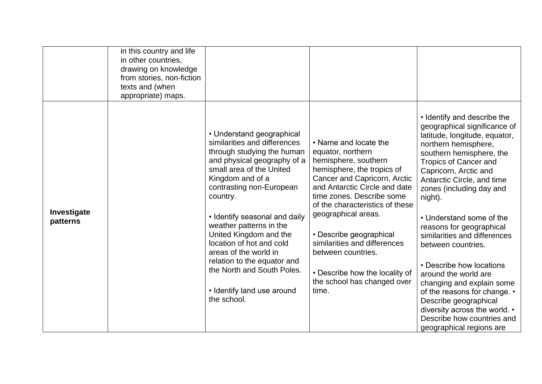|                         | in this country and life<br>in other countries,<br>drawing on knowledge<br>from stories, non-fiction<br>texts and (when<br>appropriate) maps. |                                                                                                                                                                                                                                                                                                                                                                                                                                                                     |                                                                                                                                                                                                                                                                                                                                                                                                                     |                                                                                                                                                                                                                                                                                                                                                                                                                                                                                                                                                                                                                                   |
|-------------------------|-----------------------------------------------------------------------------------------------------------------------------------------------|---------------------------------------------------------------------------------------------------------------------------------------------------------------------------------------------------------------------------------------------------------------------------------------------------------------------------------------------------------------------------------------------------------------------------------------------------------------------|---------------------------------------------------------------------------------------------------------------------------------------------------------------------------------------------------------------------------------------------------------------------------------------------------------------------------------------------------------------------------------------------------------------------|-----------------------------------------------------------------------------------------------------------------------------------------------------------------------------------------------------------------------------------------------------------------------------------------------------------------------------------------------------------------------------------------------------------------------------------------------------------------------------------------------------------------------------------------------------------------------------------------------------------------------------------|
| Investigate<br>patterns |                                                                                                                                               | • Understand geographical<br>similarities and differences<br>through studying the human<br>and physical geography of a<br>small area of the United<br>Kingdom and of a<br>contrasting non-European<br>country.<br>• Identify seasonal and daily<br>weather patterns in the<br>United Kingdom and the<br>location of hot and cold<br>areas of the world in<br>relation to the equator and<br>the North and South Poles.<br>• Identify land use around<br>the school. | • Name and locate the<br>equator, northern<br>hemisphere, southern<br>hemisphere, the tropics of<br>Cancer and Capricorn, Arctic<br>and Antarctic Circle and date<br>time zones. Describe some<br>of the characteristics of these<br>geographical areas.<br>• Describe geographical<br>similarities and differences<br>between countries.<br>• Describe how the locality of<br>the school has changed over<br>time. | • Identify and describe the<br>geographical significance of<br>latitude, longitude, equator,<br>northern hemisphere,<br>southern hemisphere, the<br><b>Tropics of Cancer and</b><br>Capricorn, Arctic and<br>Antarctic Circle, and time<br>zones (including day and<br>night).<br>• Understand some of the<br>reasons for geographical<br>similarities and differences<br>between countries.<br>• Describe how locations<br>around the world are<br>changing and explain some<br>of the reasons for change. •<br>Describe geographical<br>diversity across the world. •<br>Describe how countries and<br>geographical regions are |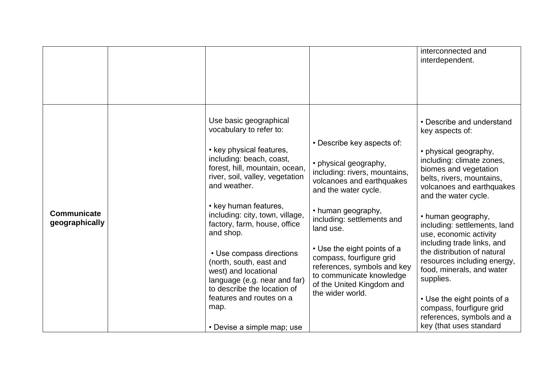|                                      |                                                                                                                                                                                                                                                                                                                                                                                                                                                                                                                         |                                                                                                                                                                                                                                                                                                                                                                                   | interconnected and<br>interdependent.                                                                                                                                                                                                                                                                                                                                                                                                                                                                                                                  |
|--------------------------------------|-------------------------------------------------------------------------------------------------------------------------------------------------------------------------------------------------------------------------------------------------------------------------------------------------------------------------------------------------------------------------------------------------------------------------------------------------------------------------------------------------------------------------|-----------------------------------------------------------------------------------------------------------------------------------------------------------------------------------------------------------------------------------------------------------------------------------------------------------------------------------------------------------------------------------|--------------------------------------------------------------------------------------------------------------------------------------------------------------------------------------------------------------------------------------------------------------------------------------------------------------------------------------------------------------------------------------------------------------------------------------------------------------------------------------------------------------------------------------------------------|
| <b>Communicate</b><br>geographically | Use basic geographical<br>vocabulary to refer to:<br>• key physical features,<br>including: beach, coast,<br>forest, hill, mountain, ocean,<br>river, soil, valley, vegetation<br>and weather.<br>• key human features,<br>including: city, town, village,<br>factory, farm, house, office<br>and shop.<br>• Use compass directions<br>(north, south, east and<br>west) and locational<br>language (e.g. near and far)<br>to describe the location of<br>features and routes on a<br>map.<br>• Devise a simple map; use | • Describe key aspects of:<br>• physical geography,<br>including: rivers, mountains,<br>volcanoes and earthquakes<br>and the water cycle.<br>• human geography,<br>including: settlements and<br>land use.<br>• Use the eight points of a<br>compass, fourfigure grid<br>references, symbols and key<br>to communicate knowledge<br>of the United Kingdom and<br>the wider world. | • Describe and understand<br>key aspects of:<br>• physical geography,<br>including: climate zones,<br>biomes and vegetation<br>belts, rivers, mountains,<br>volcanoes and earthquakes<br>and the water cycle.<br>• human geography,<br>including: settlements, land<br>use, economic activity<br>including trade links, and<br>the distribution of natural<br>resources including energy,<br>food, minerals, and water<br>supplies.<br>• Use the eight points of a<br>compass, fourfigure grid<br>references, symbols and a<br>key (that uses standard |